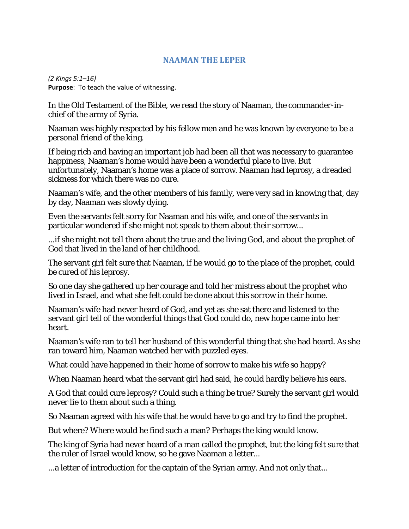## **NAAMAN THE LEPER**

*(2 Kings 5:1–16)* **Purpose**: To teach the value of witnessing.

In the Old Testament of the Bible, we read the story of Naaman, the commander-inchief of the army of Syria.

Naaman was highly respected by his fellow men and he was known by everyone to be a personal friend of the king.

If being rich and having an important job had been all that was necessary to guarantee happiness, Naaman's home would have been a wonderful place to live. But unfortunately, Naaman's home was a place of sorrow. Naaman had leprosy, a dreaded sickness for which there was no cure.

Naaman's wife, and the other members of his family, were very sad in knowing that, day by day, Naaman was slowly dying.

Even the servants felt sorry for Naaman and his wife, and one of the servants in particular wondered if she might not speak to them about their sorrow...

...if she might not tell them about the true and the living God, and about the prophet of God that lived in the land of her childhood.

The servant girl felt sure that Naaman, if he would go to the place of the prophet, could be cured of his leprosy.

So one day she gathered up her courage and told her mistress about the prophet who lived in Israel, and what she felt could be done about this sorrow in their home.

Naaman's wife had never heard of God, and yet as she sat there and listened to the servant girl tell of the wonderful things that God could do, new hope came into her heart.

Naaman's wife ran to tell her husband of this wonderful thing that she had heard. As she ran toward him, Naaman watched her with puzzled eyes.

What could have happened in their home of sorrow to make his wife so happy?

When Naaman heard what the servant girl had said, he could hardly believe his ears.

A God that could cure leprosy? Could such a thing be true? Surely the servant girl would never lie to them about such a thing.

So Naaman agreed with his wife that he would have to go and try to find the prophet.

But where? Where would he find such a man? Perhaps the king would know.

The king of Syria had never heard of a man called the prophet, but the king felt sure that the ruler of Israel would know, so he gave Naaman a letter...

...a letter of introduction for the captain of the Syrian army. And not only that...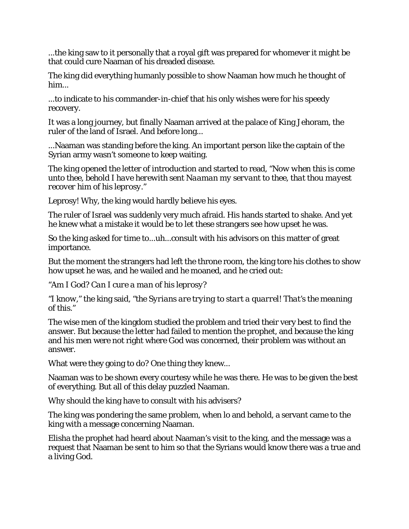...the king saw to it personally that a royal gift was prepared for whomever it might be that could cure Naaman of his dreaded disease.

The king did everything humanly possible to show Naaman how much he thought of him...

...to indicate to his commander-in-chief that his only wishes were for his speedy recovery.

It was a long journey, but finally Naaman arrived at the palace of King Jehoram, the ruler of the land of Israel. And before long...

...Naaman was standing before the king. An important person like the captain of the Syrian army wasn't someone to keep waiting.

The king opened the letter of introduction and started to read, *"Now when this is come unto thee, behold I have herewith sent Naaman my servant to thee, that thou mayest recover him of his leprosy."*

Leprosy! Why, the king would hardly believe his eyes.

The ruler of Israel was suddenly very much afraid. His hands started to shake. And yet he knew what a mistake it would be to let these strangers see how upset he was.

So the king asked for time to...uh...consult with his advisors on this matter of great importance.

But the moment the strangers had left the throne room, the king tore his clothes to show how upset he was, and he wailed and he moaned, and he cried out:

*"Am I God? Can I cure a man of his leprosy?*

*"I know,"* the king said, *"the Syrians are trying to start a quarrel! That's the meaning of this."*

The wise men of the kingdom studied the problem and tried their very best to find the answer. But because the letter had failed to mention the prophet, and because the king and his men were not right where God was concerned, their problem was without an answer.

What were they going to do? One thing they knew...

Naaman was to be shown every courtesy while he was there. He was to be given the best of everything. But all of this delay puzzled Naaman.

Why should the king have to consult with his advisers?

The king was pondering the same problem, when lo and behold, a servant came to the king with a message concerning Naaman.

Elisha the prophet had heard about Naaman's visit to the king, and the message was a request that Naaman be sent to him so that the Syrians would know there was a true and a living God.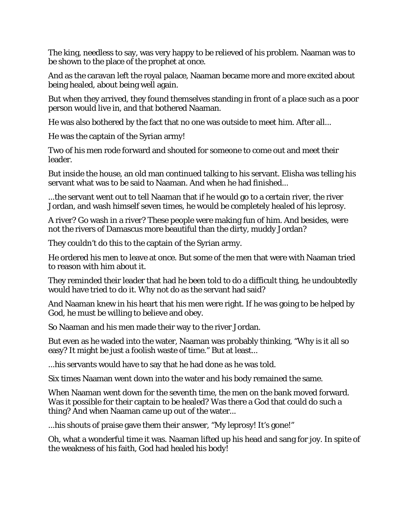The king, needless to say, was very happy to be relieved of his problem. Naaman was to be shown to the place of the prophet at once.

And as the caravan left the royal palace, Naaman became more and more excited about being healed, about being well again.

But when they arrived, they found themselves standing in front of a place such as a poor person would live in, and that bothered Naaman.

He was also bothered by the fact that no one was outside to meet him. After all...

He was the captain of the Syrian army!

Two of his men rode forward and shouted for someone to come out and meet their leader.

But inside the house, an old man continued talking to his servant. Elisha was telling his servant what was to be said to Naaman. And when he had finished...

...the servant went out to tell Naaman that if he would go to a certain river, the river Jordan, and wash himself seven times, he would be completely healed of his leprosy.

A river? Go wash in a river? These people were making fun of him. And besides, were not the rivers of Damascus more beautiful than the dirty, muddy Jordan?

They couldn't do this to the captain of the Syrian army.

He ordered his men to leave at once. But some of the men that were with Naaman tried to reason with him about it.

They reminded their leader that had he been told to do a difficult thing, he undoubtedly would have tried to do it. Why not do as the servant had said?

And Naaman knew in his heart that his men were right. If he was going to be helped by God, he must be willing to believe and obey.

So Naaman and his men made their way to the river Jordan.

But even as he waded into the water, Naaman was probably thinking, "Why is it all so easy? It might be just a foolish waste of time." But at least...

...his servants would have to say that he had done as he was told.

Six times Naaman went down into the water and his body remained the same.

When Naaman went down for the seventh time, the men on the bank moved forward. Was it possible for their captain to be healed? Was there a God that could do such a thing? And when Naaman came up out of the water...

...his shouts of praise gave them their answer, "My leprosy! It's gone!"

Oh, what a wonderful time it was. Naaman lifted up his head and sang for joy. In spite of the weakness of his faith, God had healed his body!